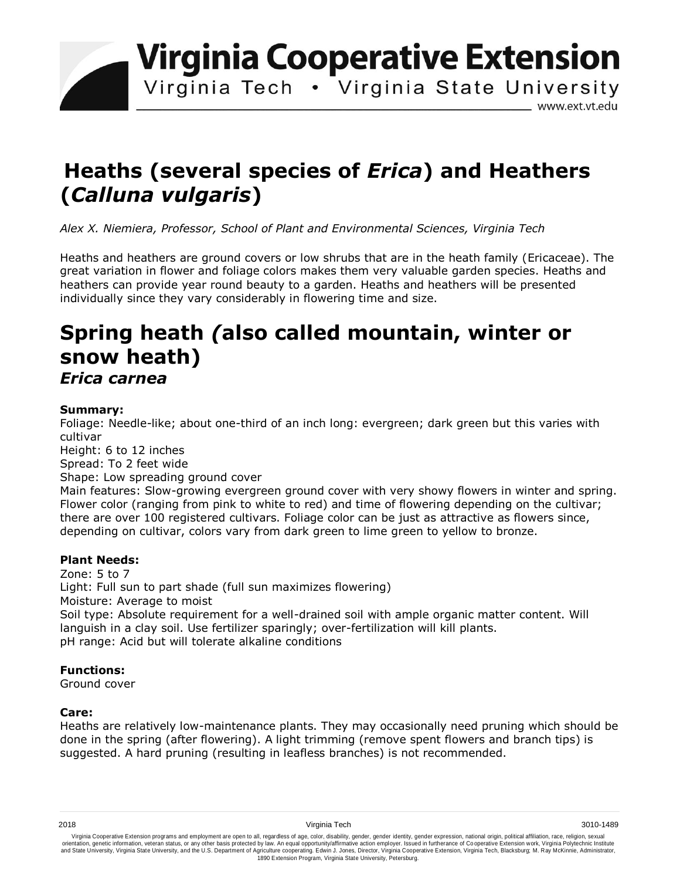**Virginia Cooperative Extension** 

Virginia Tech . Virginia State University

www.ext.vt.edu

# **Heaths (several species of** *Erica***) and Heathers (***Calluna vulgaris***)**

*Alex X. Niemiera, Professor, School of Plant and Environmental Sciences, Virginia Tech*

Heaths and heathers are ground covers or low shrubs that are in the heath family (Ericaceae). The great variation in flower and foliage colors makes them very valuable garden species. Heaths and heathers can provide year round beauty to a garden. Heaths and heathers will be presented individually since they vary considerably in flowering time and size.

# **Spring heath** *(***also called mountain, winter or snow heath)**  *Erica carnea*

#### **Summary:**

Foliage: Needle-like; about one-third of an inch long: evergreen; dark green but this varies with cultivar

Height: 6 to 12 inches

Spread: To 2 feet wide

Shape: Low spreading ground cover

Main features: Slow-growing evergreen ground cover with very showy flowers in winter and spring. Flower color (ranging from pink to white to red) and time of flowering depending on the cultivar; there are over 100 registered cultivars. Foliage color can be just as attractive as flowers since, depending on cultivar, colors vary from dark green to lime green to yellow to bronze.

## **Plant Needs:**

Zone: 5 to 7 Light: Full sun to part shade (full sun maximizes flowering) Moisture: Average to moist Soil type: Absolute requirement for a well-drained soil with ample organic matter content. Will languish in a clay soil. Use fertilizer sparingly; over-fertilization will kill plants. pH range: Acid but will tolerate alkaline conditions

## **Functions:**

Ground cover

## **Care:**

Heaths are relatively low-maintenance plants. They may occasionally need pruning which should be done in the spring (after flowering). A light trimming (remove spent flowers and branch tips) is suggested. A hard pruning (resulting in leafless branches) is not recommended.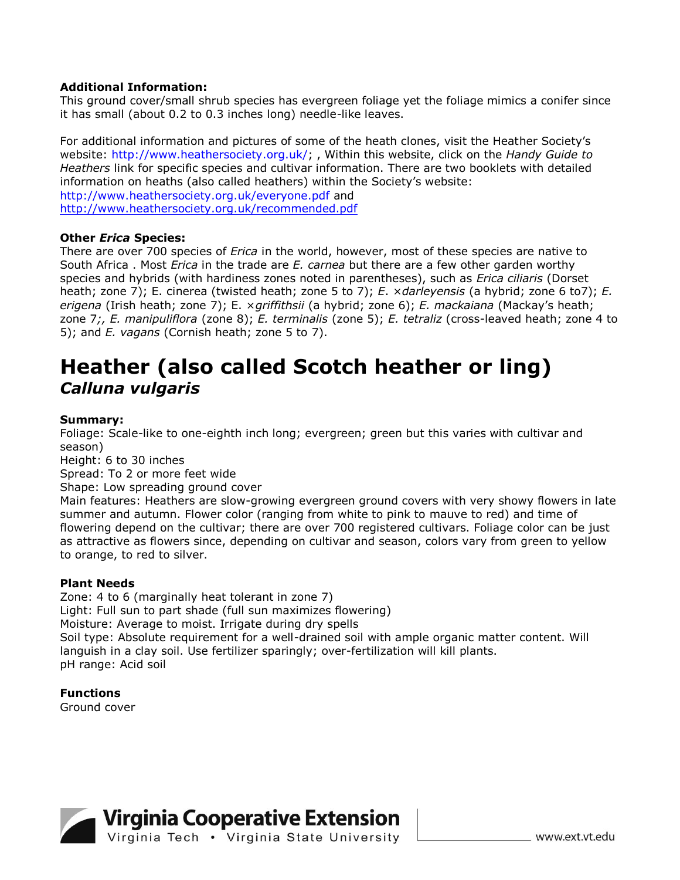#### **Additional Information:**

This ground cover/small shrub species has evergreen foliage yet the foliage mimics a conifer since it has small (about 0.2 to 0.3 inches long) needle-like leaves.

For additional information and pictures of some of the heath clones, visit the Heather Society's website: http://www.heathersociety.org.uk/; , Within this website, click on the *Handy Guide to Heathers* link for specific species and cultivar information. There are two booklets with detailed information on heaths (also called heathers) within the Society's website: http://www.heathersociety.org.uk/everyone.pdf and <http://www.heathersociety.org.uk/recommended.pdf>

#### **Other** *Erica* **Species:**

There are over 700 species of *Erica* in the world, however, most of these species are native to South Africa . Most *Erica* in the trade are *E. carnea* but there are a few other garden worthy species and hybrids (with hardiness zones noted in parentheses), such as *Erica ciliaris* (Dorset heath; zone 7); E. cinerea (twisted heath; zone 5 to 7); *E*. ×*darleyensis* (a hybrid; zone 6 to7); *E. erigena* (Irish heath; zone 7); E. ×*griffithsii* (a hybrid; zone 6); *E. mackaiana* (Mackay's heath; zone 7*;, E. manipuliflora* (zone 8); *E. terminalis* (zone 5); *E. tetraliz* (cross-leaved heath; zone 4 to 5); and *E. vagans* (Cornish heath; zone 5 to 7).

# **Heather (also called Scotch heather or ling)**  *Calluna vulgaris*

#### **Summary:**

Foliage: Scale-like to one-eighth inch long; evergreen; green but this varies with cultivar and season)

Height: 6 to 30 inches

Spread: To 2 or more feet wide

Shape: Low spreading ground cover

Main features: Heathers are slow-growing evergreen ground covers with very showy flowers in late summer and autumn. Flower color (ranging from white to pink to mauve to red) and time of flowering depend on the cultivar; there are over 700 registered cultivars. Foliage color can be just as attractive as flowers since, depending on cultivar and season, colors vary from green to yellow to orange, to red to silver.

#### **Plant Needs**

Zone: 4 to 6 (marginally heat tolerant in zone 7) Light: Full sun to part shade (full sun maximizes flowering) Moisture: Average to moist. Irrigate during dry spells Soil type: Absolute requirement for a well-drained soil with ample organic matter content. Will languish in a clay soil. Use fertilizer sparingly; over-fertilization will kill plants. pH range: Acid soil

**Functions**  Ground cover